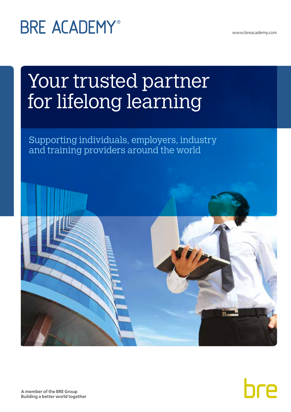www.breacademy.com

# **BRE ACADEMY®**

# Your trusted partner for lifelong learning

Supporting individuals, employers, industry and training providers around the world



**A member of the BRE Group Building a better world together**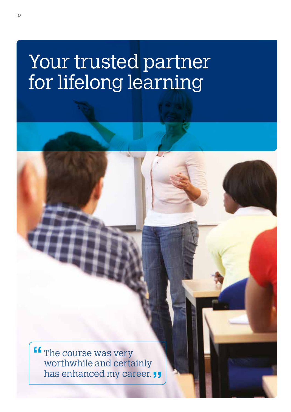## Your trusted partner for lifelong learning

**ff** The course was very worthwhile and certainly has enhanced my career.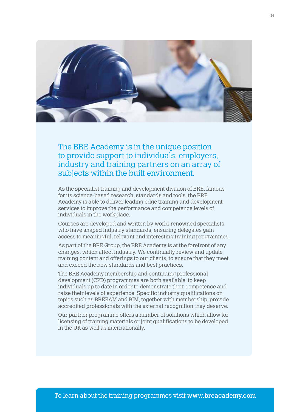

The BRE Academy is in the unique position to provide support to individuals, employers, industry and training partners on an array of subjects within the built environment.

As the specialist training and development division of BRE, famous for its science-based research, standards and tools, the BRE Academy is able to deliver leading edge training and development services to improve the performance and competence levels of individuals in the workplace.

Courses are developed and written by world-renowned specialists who have shaped industry standards, ensuring delegates gain access to meaningful, relevant and interesting training programmes.

As part of the BRE Group, the BRE Academy is at the forefront of any changes, which affect industry. We continually review and update training content and offerings to our clients, to ensure that they meet and exceed the new standards and best practices.

The BRE Academy membership and continuing professional development (CPD) programmes are both available, to keep individuals up to date in order to demonstrate their competence and raise their levels of experience. Specific industry qualifications on topics such as BREEAM and BIM, together with membership, provide accredited professionals with the external recognition they deserve.

Our partner programme offers a number of solutions which allow for licensing of training materials or joint qualifications to be developed in the UK as well as internationally.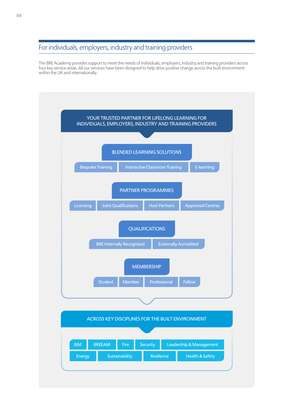## For individuals, employers, industry and training providers

The BRE Academy provides support to meet the needs of individuals, employers, industry and training providers across four key service areas. All our services have been designed to help drive positive change across the built environment within the UK and internationally.

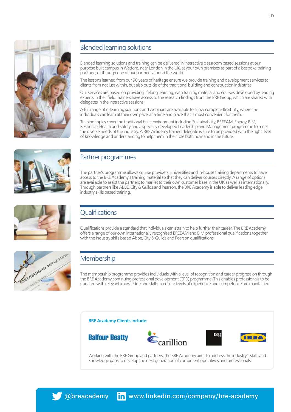

## Blended learning solutions

Blended learning solutions and training can be delivered in interactive classroom based sessions at our purpose built campus in Watford, near London in the UK, at your own premises as part of a bespoke training package, or through one of our partners around the world.

The lessons learned from our 90 years of heritage ensure we provide training and development services to clients from not just within, but also outside of the traditional building and construction industries.

Our services are based on providing lifelong learning, with training material and courses developed by leading experts in their field. Trainers have access to the research findings from the BRE Group, which are shared with delegates in the interactive sessions.

A full range of e-learning solutions and webinars are available to allow complete flexibility, where the individuals can learn at their own pace, at a time and place that is most convenient for them.

Training topics cover the traditional built environment including Sustainability, BREEAM, Energy, BIM, Resilience, Health and Safety and a specially developed Leadership and Management programme to meet the diverse needs of the industry. A BRE Academy trained delegate is sure to be provided with the right level of knowledge and understanding to help them in their role both now and in the future.



## Partner programmes

The partner's programme allows course providers, universities and in-house training departments to have access to the BRE Academy's training material so that they can deliver courses directly. A range of options are available to assist the partners to market to their own customer base in the UK as well as internationally. Through partners like ABBE, City & Guilds and Pearson, the BRE Academy is able to deliver leading edge industry skills based training.

## **Qualifications**

Qualifications provide a standard that individuals can attain to help further their career. The BRE Academy offers a range of our own internationally recognised BREEAM and BIM professional qualifications together with the industry skills based Abbe, City & Guilds and Pearson qualifications.



## Membership

The membership programme provides individuals with a level of recognition and career progression through the BRE Academy continuing professional development (CPD) programme. This enables professionals to be updated with relevant knowledge and skills to ensure levels of experience and competence are maintained.



Working with the BRE Group and partners, the BRE Academy aims to address the industry's skills and knowledge gaps to develop the next generation of competent operatives and professionals.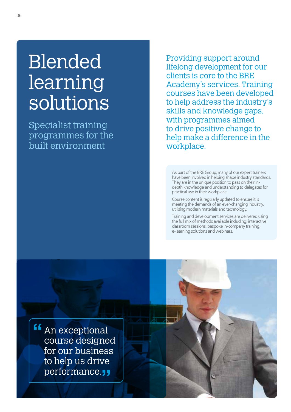# Blended learning solutions

Specialist training programmes for the built environment

Providing support around lifelong development for our clients is core to the BRE Academy's services. Training courses have been developed to help address the industry's skills and knowledge gaps, with programmes aimed to drive positive change to help make a difference in the workplace.

As part of the BRE Group, many of our expert trainers have been involved in helping shape industry standards. They are in the unique position to pass on their indepth knowledge and understanding to delegates for practical use in their workplace.

Course content is regularly updated to ensure it is meeting the demands of an ever-changing industry, utilising modern materials and technology.

Training and development services are delivered using the full mix of methods available including; interactive classroom sessions, bespoke in-company training, e-learning solutions and webinars.

An exceptional course designed for our business to help us drive performance.<sub>JJ</sub>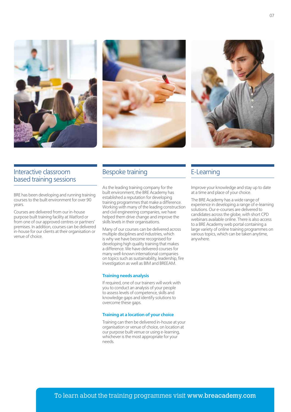





## Interactive classroom based training sessions

BRE has been developing and running training courses to the built environment for over 90 years.

Courses are delivered from our in-house purpose built training facility at Watford or from one of our approved centres or partners' premises. In addition, courses can be delivered in-house for our clients at their organisation or venue of choice.

## Bespoke training

As the leading training company for the built environment, the BRE Academy has established a reputation for developing training programmes that make a difference. Working with many of the leading construction and civil engineering companies, we have helped them drive change and improve the skills levels in their organisations.

Many of our courses can be delivered across multiple disciplines and industries, which is why we have become recognised for developing high quality training that makes a difference. We have delivered courses for many well-known international companies on topics such as sustainability, leadership, fire investigation as well as BIM and BREEAM.

#### **Training needs analysis**

If required, one of our trainers will work with you to conduct an analysis of your people to assess levels of competence, skills and knowledge gaps and identify solutions to overcome these gaps.

#### **Training at a location of your choice**

Training can then be delivered in-house at your organisation or venue of choice, on location at our purpose built venue or using e-learning, whichever is the most appropriate for your needs.

## E-Learning

Improve your knowledge and stay up to date at a time and place of your choice.

The BRE Academy has a wide range of experience in developing a range of e-learning solutions. Our e-courses are delivered to candidates across the globe, with short CPD webinars available online. There is also access to a BRE Academy web portal containing a large variety of online training programmes on various topics, which can be taken anytime, anywhere.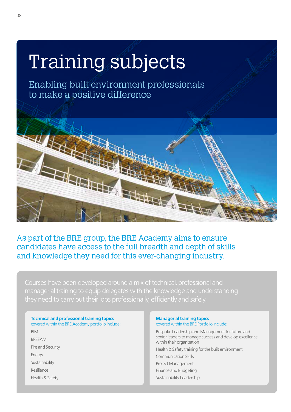# Training subjects

Enabling built environment professionals to make a positive difference



As part of the BRE group, the BRE Academy aims to ensure candidates have access to the full breadth and depth of skills and knowledge they need for this ever-changing industry.

Courses have been developed around a mix of technical, professional and managerial training to equip delegates with the knowledge and understanding they need to carry out their jobs professionally, efficiently and safely.

## **Technical and professional training topics** covered within the BRE Academy portfolio include: BIM BREEAM Fire and Security

Energy

Sustainability

Resilience

Health & Safety

#### **Managerial training topics** covered within the BRE Portfolio include:

Bespoke Leadership and Management for future and senior leaders to manage success and develop excellence within their organisation Health & Safety training for the built environment Communication Skills Project Management Finance and Budgeting Sustainability Leadership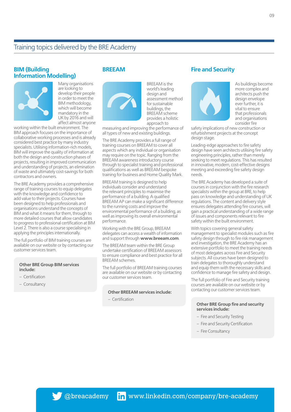#### **BIM (Building Information Modelling)**



Many organisations are looking to develop their people in order to meet the BIM methodology, which will become mandatory in the UK by 2016 and will affect almost anyone

working within the built environment. The BIM approach focuses on the importance of collaborative working processes and is already considered best practice by many industry specialists. Utilising information-rich models, BIM will improve the quality of information at both the design and construction phases of projects, resulting in improved communication and understanding of projects, an elimination of waste and ultimately cost-savings for both contractors and owners.

The BRE Academy provides a comprehensive range of training courses to equip delegates with the knowledge and confidence to add value to their projects. Courses have been designed to help professionals and organisations understand the concepts of BIM and what it means for them, through to more detailed courses that allow candidates to progress to professional certification at BIM Level 2. There is also a course specialising in applying the principles internationally.

The full portfolio of BIM training courses are available on our website or by contacting our customer services team.

#### **Other BRE Group BIM services include:**

- Certification
- Consultancy

### **BREEAM**



world's leading design and assessment method for sustainable buildings, the BREEAM scheme provides a holistic approach to

BREEAM is the

measuring and improving the performance of all types of new and existing buildings.

The BRE Academy provides a full range of training courses on BREEAM to cover all aspects which any individual or organisation may require on the topic. Ranging from the BREEAM awareness introductory course through to specialist training and professional qualifications as well as BREEAM bespoke training for business and Home Quality Mark.

BREEAM training is designed to help individuals consider and understand the relevant principles to maximise the performance of a building. A qualified BREEAM AP can make a significant difference to the running costs and improve the environmental performance of a building, as well as improving its overall environmental performance.

Working with the BRE Group, BREEAM delegates can access a wealth of information and support through **www.breeam.com**.

The BREEAM team within the BRE Group undertake certification of BREEAM assessors to ensure compliance and best practice for all BREEAM schemes.

The full portfolio of BREEAM training courses are available on our website or by contacting our customer services team.

#### **Other BREEAM services include:**

– Certification

### **Fire and Security**



As buildings become more complex and architects push the design envelope ever further, it is vital to ensure that professionals and organisations consider fire

safety implications of new construction or refurbishment projects at the concept design stage.

Leading-edge approaches to fire safety design have seen architects utilising fire safety engineering principles, rather than merely seeking to meet regulations. This has resulted in innovative, modern, cost-effective designs meeting and exceeding fire safety design needs.

The BRE Academy has developed a suite of courses in conjunction with the fire research specialists within the group at BRE, to help pass on knowledge and understanding of UK regulations. The content and delivery style ensures delegates attending fire courses, will gain a practical understanding of a wide range of issues and components relevant to fire safety within the built environment.

With topics covering general safety management to specialist modules such as fire safety design through to fire risk management and investigation, the BRE Academy has an extensive portfolio to meet the training needs of most delegates across Fire and Security subjects. All courses have been designed to train delegates to thoroughly understand and equip them with the necessary skills and confidence to manage fire safety and design.

The full portfolio of Fire and Security training courses are available on our website or by contacting our customer services team.

#### **Other BRE Group fire and security services include:**

- Fire and Security Testing
- Fire and Security Certification
- Fire Consultancy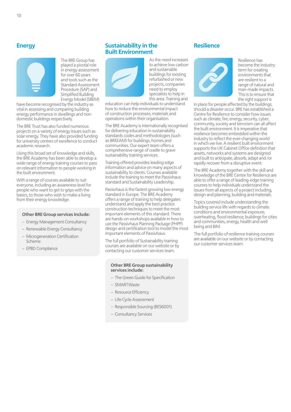## **Energy**



The BRE Group has played a pivotal role in energy assessment for over 60 years and tools such as the Standard Assessment Procedure (SAP) and Simplified Building Energy Model (SBEM)

have become recognised by the industry as vital in assessing and comparing building energy performance in dwellings and nondomestic buildings respectively.

The BRE Trust has also funded numerous projects on a variety of energy issues such as solar energy. They have also provided funding for university centres of excellence to conduct academic research.

Using this broad set of knowledge and skills, the BRE Academy has been able to develop a wide range of energy training courses to pass on relevant information to people working in the built environment.

With a range of courses available to suit everyone, including an awareness level for people who want to get to grips with the basics, to those who wish to make a living from their energy knowledge.

#### **Other BRE Group services include:**

- Energy Management Consultancy
- Renewable Energy Consultancy
- Microgeneration Certification Scheme
- EPBD Compliance

### **Sustainability in the Built Environment**



As the need increases to achieve low carbon and sustainable buildings for existing refurbished or new projects, companies need to employ specialists to help in this area. Training and

education can help individuals to understand how to reduce the environmental impact of construction processes, materials and operations within their organisation.

The BRE Academy is internationally recognised for delivering education in sustainability standards codes and methodologies (such as BREEAM) for buildings, homes and communities. Our expert team offers a comprehensive range of cradle to grave sustainability training services.

Training offered provides leading edge information and advice on many aspects of sustainability to clients. Courses available include the training to meet the Passivhaus standard and Sustainability Leadership.

Passivhaus is the fastest growing low energy standard in Europe. The BRE Academy offers a range of training to help delegates understand and apply the best practice construction techniques to meet the most important elements of this standard. There are hands-on workshops available in how to use the Passivhaus Planning Package (PHPP) design and certification tool to model the most important elements of Passivhaus.

The full portfolio of Sustainability training courses are available on our website or by contacting our customer services team.

#### **Other BRE Group sustainability services include:**

- The Green Guide for Specification
- SMARTWaste
- Resource Efficiency
- Life Cycle Assessment
- Responsible Sourcing (BES6001)
- Consultancy Services

### **Resilience**



Resilience has become the industry term for creating environments that are resilient to a range of natural and man-made impacts. This is to ensure that the right support is

in place for people affected by the buildings, should a disaster occur. BRE has established a Centre for Resilience to consider how issues such as climate, fire, energy, security, cyber, community, society and terrorism can all affect the built environment. It is imperative that resilience becomes embedded within the industry to reflect the ever-changing world in which we live. A resilient built environment supports the UK Cabinet Office definition that assets, networks and systems are designed and built to anticipate, absorb, adapt and /or rapidly recover from a disruptive event.

The BRE Academy together with the skill and knowledge of the BRE Centre for Resilience are able to offer a range of leading-edge training courses to help individuals understand the issues from all aspects of a project including, design and planning, building and materials.

Topics covered include understanding the building service life with regards to climatic conditions and environmental exposure, overheating, flood resilience, buildings for cities and communities, energy, health and well being and BIM.

The full portfolio of resilience training courses are available on our website or by contacting our customer services team.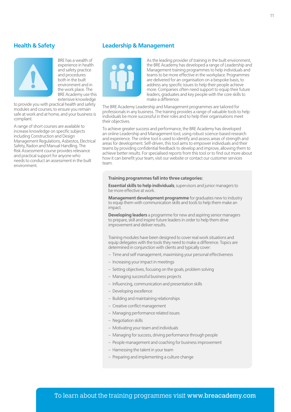## **Health & Safety**



BRE has a wealth of experience in health and safety practice and procedures both in the built environment and in the work place. The BRE Academy use this extensive knowledge

to provide you with practical health and safety modules and courses, to ensure you remain safe at work and at home, and your business is compliant.

A range of short courses are available to increase knowledge on specific subjects including Construction and Design Management Regulations, Asbestos, Electrical Safety, Radon and Manual Handling. The Risk Assessment course provides relevance and practical support for anyone who needs to conduct an assessment in the built environment.

### **Leadership & Management**



As the leading provider of training in the built environment, the BRE Academy has developed a range of Leadership and Management training programmes to help individuals and teams to be more effective in the workplace. Programmes are delivered for an organisation on a bespoke basis, to address any specific issues to help their people achieve more. Companies often need support to equip their future leaders, graduates and key people with the core skills to make a difference.

The BRE Academy Leadership and Management programmes are tailored for professionals in any business. The training provides a range of valuable tools to help individuals be more successful in their roles and to help their organisations meet their objectives.

To achieve greater success and performance, the BRE Academy has developed an online Leadership and Management tool, using robust science-based research and experience. The online tool is used to identify and assess areas of strength and areas for development. Self-driven, this tool aims to empower individuals and their teams by providing confidential feedback to develop and improve, allowing them to achieve better results. For specialised reports from this tool or to find out more about how it can benefit your team, visit our website or contact our customer services team.

#### **Training programmes fall into three categories:**

**Essential skills to help individuals**, supervisors and junior managers to be more effective at work.

**Management development programme** for graduates new to industry to equip them with communication skills and tools to help them make an impact.

**Developing leaders** a programme for new and aspiring senior managers to prepare, skill and inspire future leaders in order to help them drive improvement and deliver results.

Training modules have been designed to cover real work situations and equip delegates with the tools they need to make a difference. Topics are determined in conjunction with clients and typically cover:

- Time and self management, maximising your personal effectiveness
- Increasing your impact in meetings
- Setting objectives, focusing on the goals, problem solving
- Managing successful business projects
- Influencing, communication and presentation skills
- Developing excellence
- Building and maintaining relationships
- Creative conflict management
- Managing performance related issues
- Negotiation skills
- Motivating your team and individuals
- Managing for success, driving performance through people
- People management and coaching for business improvement
- Harnessing the talent in your team
- Preparing and implementing a culture change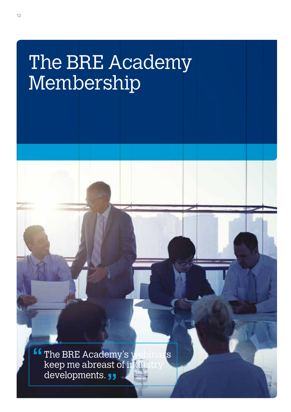## The BRE Academy Membership

The BRE Academy's webinars keep me abreast of industry developments.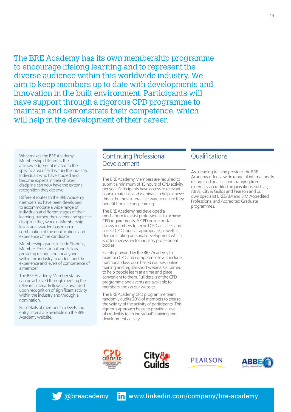The BRE Academy has its own membership programme to encourage lifelong learning and to represent the diverse audience within this worldwide industry. We aim to keep members up to date with developments and innovation in the built environment. Participants will have support through a rigorous CPD programme to maintain and demonstrate their competence, which will help in the development of their career.

What makes the BRE Academy Membership different is the acknowledgement related to the specific area of skill within the industry. Individuals who have studied and become experts in their chosen discipline can now have the external recognition they deserve.

Different routes to the BRE Academy membership have been developed to accommodate a wide range of individuals at different stages of their learning journey, their career and specific discipline they work in. Membership levels are awarded based on a combination of the qualifications and experience of the candidate.

Membership grades include Student, Member, Professional and Fellow, providing recognition for anyone within the industry to understand the experience and levels of competence of a member.

The BRE Academy Member status can be achieved through meeting the relevant criteria. Fellows are awarded upon recognition of significant activity within the industry and through a nomination.

Full details of membership levels and entry criteria are available on the BRE Academy website.

## Continuing Professional Development

The BRE Academy Members are required to submit a minimum of 15 hours of CPD activity per year. Participants have access to relevant course materials and webinars to help achieve this in the most interactive way, to ensure they benefit from lifelong learning.

The BRE Academy has developed a mechanism to assist professionals to achieve CPD requirements. A CPD online portal allows members to record CPD activities and collect CPD hours as appropriate, as well as demonstrating personal development which is often necessary for industry professional bodies.

Events provided by the BRE Academy to maintain CPD and competence levels include traditional classroom based courses, online training and regular short webinars all aimed to help people learn at a time and place convenient to them. Full details of the CPD programme and events are available to members and on our website.

The BRE Academy CPD programme team randomly audits 20% of members to ensure the validity of the activity of participants. This rigorous approach helps to provide a level of credibility to an individual's training and development activity.

## **Qualifications**

As a leading training provider, the BRE Academy offers a wide range of internationally recognised qualifications ranging from externally accredited organisations, such as, ABBE, City & Guilds and Pearson and our own specialist BREEAM and BIM Accredited Professional and Accredited Graduate programmes.







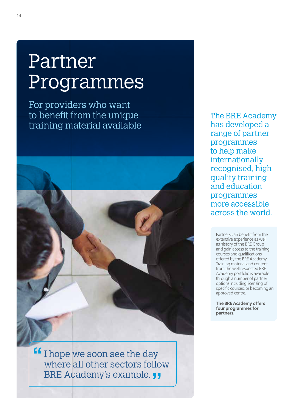## Partner Programmes

For providers who want to benefit from the unique training material available



I hope we soon see the day where all other sectors follow BRE Academy's example.

The BRE Academy has developed a range of partner programmes to help make internationally recognised, high quality training and education programmes more accessible across the world.

Partners can benefit from the extensive experience as well as history of the BRE Group and gain access to the training courses and qualifications offered by the BRE Academy. Training material and content from the well respected BRE Academy portfolio is available through a number of partner options including licensing of specific courses, or becoming an approved centre.

**The BRE Academy offers four programmes for partners.**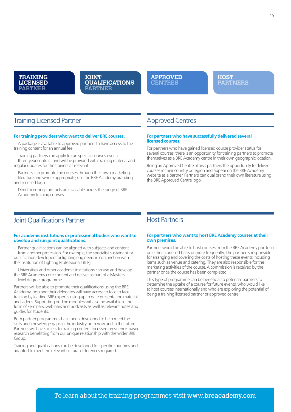

#### **JOINT QUALIFICATIONS PARTNER**

**APPROVED CENTRES**

**HOST PARTNERS**

## Training Licensed Partner

#### **For training providers who want to deliver BRE courses.**

– A package is available to approved partners to have access to the training content for an annual fee.

– Training partners can apply to run specific courses over a three-year contract and will be provided with training material and regular updates for the trainers as relevant.

– Partners can promote the courses through their own marketing literature and where appropriate, use the BRE Academy branding and licensed logo .

– Direct licensing contracts are available across the range of BRE Academy training courses.

## Approved Centres

#### **For partners who have successfully delivered several licensed courses.**

For partners who have gained licensed course provider status for several courses, there is an opportunity for training partners to promote themselves as a BRE Academy centre in their own geographic location.

Being an Approved Centre allows partners the opportunity to deliver courses in their country or region and appear on the BRE Academy website as a partner. Partners can dual brand their own literature using the BRE Approved Centre logo.

## Joint Qualifications Partner

#### **For academic institutions or professional bodies who want to develop and run joint qualifications.**

– Partner qualifications can be aligned with subjects and content from another profession. For example, the specialist sustainability qualification developed for lighting engineers in conjunction with the Institution of Lighting Professionals (ILP).

– Universities and other academic institutions can use and develop the BRE Academy core content and deliver as part of a Masters level degree programme.

Partners will be able to promote their qualifications using the BRE Academy logo and their delegates will have access to face to face training by leading BRE experts, using up to date presentation material and videos. Supporting on-line modules will also be available in the form of seminars, webinars and podcasts as well as relevant notes and guides for students.

Both partner programmes have been developed to help meet the skills and knowledge gaps in the industry both now and in the future. Partners will have access to training content focussed on science-based research benefitting from our unique relationship with the wider BRE Group.

Training and qualifications can be developed for specific countries and adapted to meet the relevant cultural differences required.

## Host Partners

#### **For partners who want to host BRE Academy courses at their own premises.**

Partners would be able to host courses from the BRE Academy portfolio on either a one-off basis or more frequently. The partner is responsible for arranging and covering the costs of hosting these events including items such as venue and catering. They are also responsible for the marketing activities of the course. A commission is received by the partner once the course has been completed.

This type of programme can be beneficial to potential partners to determine the uptake of a course for future events, who would like to host courses internationally and who are exploring the potential of being a training licensed partner or approved centre.